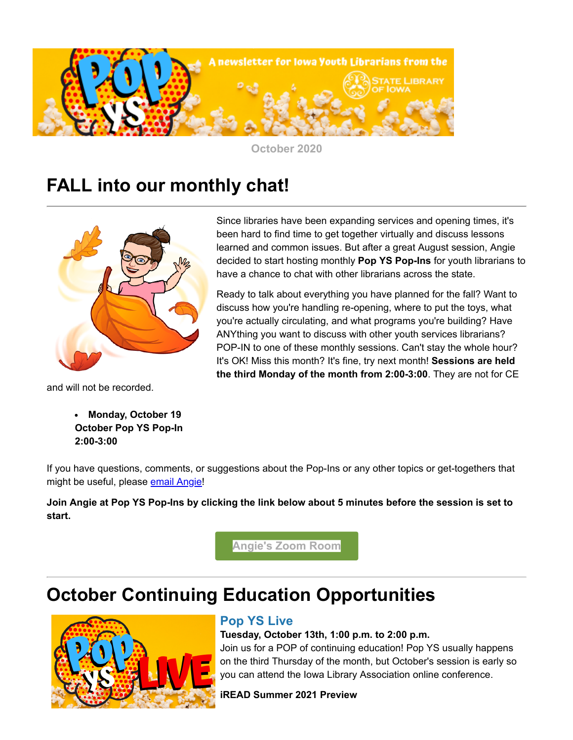

**October 2020**

## **FALL into our monthly chat!**



and will not be recorded.

**Monday, October 19 October Pop YS Pop-In 2:00-3:00**

Since libraries have been expanding services and opening times, it's been hard to find time to get together virtually and discuss lessons learned and common issues. But after a great August session, Angie decided to start hosting monthly **Pop YS Pop-Ins** for youth librarians to have a chance to chat with other librarians across the state.

Ready to talk about everything you have planned for the fall? Want to discuss how you're handling re-opening, where to put the toys, what you're actually circulating, and what programs you're building? Have ANYthing you want to discuss with other youth services librarians? POP-IN to one of these monthly sessions. Can't stay the whole hour? It's OK! Miss this month? It's fine, try next month! **Sessions are held the third Monday of the month from 2:00-3:00**. They are not for CE

If you have questions, comments, or suggestions about the Pop-Ins or any other topics or get-togethers that might be useful, please [email Angie!](mailto:angie.manfredi@iowa.gov)

**Join Angie at Pop YS Pop-Ins by clicking the link below about 5 minutes before the session is set to start.**

**[Angie's Zoom Room](https://zoom.us/j/5152817572?utm_medium=email&utm_source=govdelivery)**

# **October Continuing Education Opportunities**



#### **Pop YS Live**

#### **Tuesday, October 13th, 1:00 p.m. to 2:00 p.m.**

Join us for a POP of continuing education! Pop YS usually happens on the third Thursday of the month, but October's session is early so you can attend the Iowa Library Association online conference.

**iREAD Summer 2021 Preview**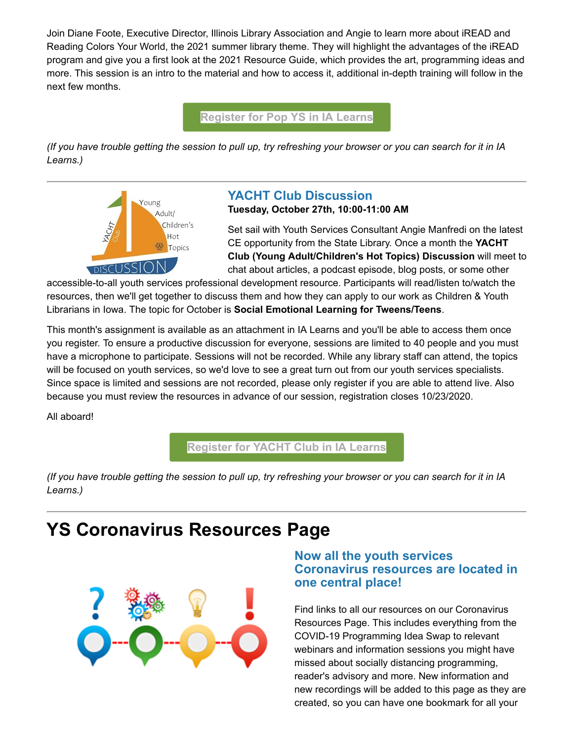Join Diane Foote, Executive Director, Illinois Library Association and Angie to learn more about iREAD and Reading Colors Your World, the 2021 summer library theme. They will highlight the advantages of the iREAD program and give you a first look at the 2021 Resource Guide, which provides the art, programming ideas and more. This session is an intro to the material and how to access it, additional in-depth training will follow in the next few months.

#### **[Register for Pop YS in IA Learns](https://lsglm700.learnsoft.com/LSGLM/Login/ialearns.aspx?cid=88&loiid=88&showloi=1&svtab=6&utm_medium=email&utm_source=govdelivery)**

*(If you have trouble getting the session to pull up, try refreshing your browser or you can search for it in IA Learns.)*



#### **YACHT Club Discussion**

**Tuesday, October 27th, 10:00-11:00 AM** 

Set sail with Youth Services Consultant Angie Manfredi on the latest CE opportunity from the State Library. Once a month the **YACHT Club (Young Adult/Children's Hot Topics) Discussion** will meet to chat about articles, a podcast episode, blog posts, or some other

accessible-to-all youth services professional development resource. Participants will read/listen to/watch the resources, then we'll get together to discuss them and how they can apply to our work as Children & Youth Librarians in Iowa. The topic for October is **Social Emotional Learning for Tweens/Teens**.

This month's assignment is available as an attachment in IA Learns and you'll be able to access them once you register. To ensure a productive discussion for everyone, sessions are limited to 40 people and you must have a microphone to participate. Sessions will not be recorded. While any library staff can attend, the topics will be focused on youth services, so we'd love to see a great turn out from our youth services specialists. Since space is limited and sessions are not recorded, please only register if you are able to attend live. Also because you must review the resources in advance of our session, registration closes 10/23/2020.

All aboard!

**[Register for YACHT Club in IA Learns](https://lsglm700.learnsoft.com/LSGLM/Login/ialearns.aspx?cid=88&loiid=96&showloi=1&svtab=6&utm_medium=email&utm_source=govdelivery)**

*(If you have trouble getting the session to pull up, try refreshing your browser or you can search for it in IA Learns.)*

### **YS Coronavirus Resources Page**



#### **Now all the youth services Coronavirus resources are located in one central place!**

Find links to all our resources on our Coronavirus Resources Page. This includes everything from the COVID-19 Programming Idea Swap to relevant webinars and information sessions you might have missed about socially distancing programming, reader's advisory and more. New information and new recordings will be added to this page as they are created, so you can have one bookmark for all your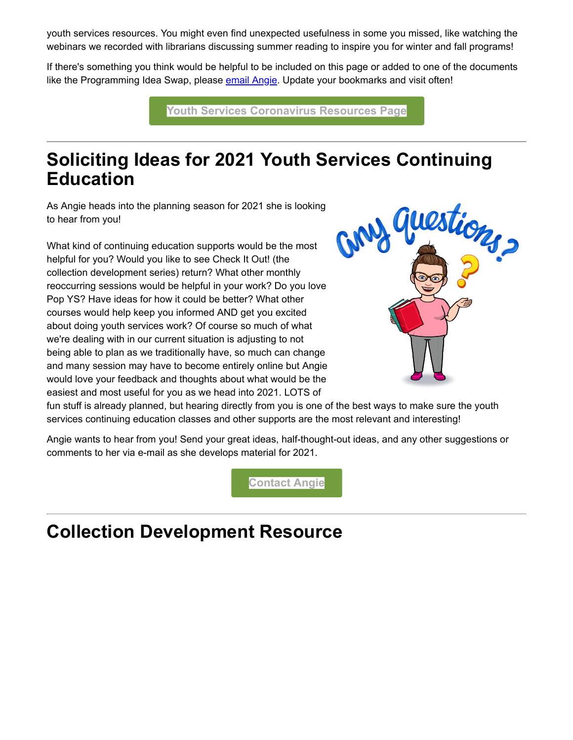youth services resources. You might even find unexpected usefulness in some you missed, like watching the webinars we recorded with librarians discussing summer reading to inspire you for winter and fall programs!

If there's something you think would be helpful to be included on this page or added to one of the documents like the Programming Idea Swap, please [email Angie](mailto:angie.manfredi@iowa.gov). Update your bookmarks and visit often!

**[Youth Services Coronavirus Resources Page](https://www.statelibraryofiowa.org/ld/c-d/covid-19/youth-services?utm_medium=email&utm_source=govdelivery)**

### **Soliciting Ideas for 2021 Youth Services Continuing Education**

As Angie heads into the planning season for 2021 she is looking to hear from you!

What kind of continuing education supports would be the most helpful for you? Would you like to see Check It Out! (the collection development series) return? What other monthly reoccurring sessions would be helpful in your work? Do you love Pop YS? Have ideas for how it could be better? What other courses would help keep you informed AND get you excited about doing youth services work? Of course so much of what we're dealing with in our current situation is adjusting to not being able to plan as we traditionally have, so much can change and many session may have to become entirely online but Angie would love your feedback and thoughts about what would be the easiest and most useful for you as we head into 2021. LOTS of



fun stuff is already planned, but hearing directly from you is one of the best ways to make sure the youth services continuing education classes and other supports are the most relevant and interesting!

Angie wants to hear from you! Send your great ideas, half-thought-out ideas, and any other suggestions or comments to her via e-mail as she develops material for 2021.

**[Contact Angie](mailto:angie.manfredi@iowa.gov)**

### **Collection Development Resource**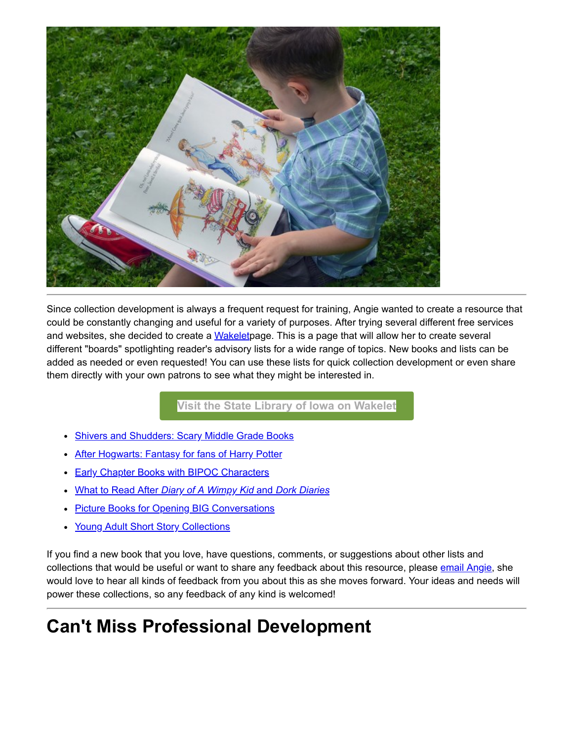

Since collection development is always a frequent request for training, Angie wanted to create a resource that could be constantly changing and useful for a variety of purposes. After trying several different free services and websites, she decided to create a [Wakeletp](https://wakelet.com/?utm_medium=email&utm_source=govdelivery)age. This is a page that will allow her to create several different "boards" spotlighting reader's advisory lists for a wide range of topics. New books and lists can be added as needed or even requested! You can use these lists for quick collection development or even share them directly with your own patrons to see what they might be interested in.

**[Visit the State Library of Iowa on Wakelet](https://wakelet.com/@StateLibraryofIowa?utm_medium=email&utm_source=govdelivery)**

- [Shivers and Shudders: Scary Middle Grade Books](https://wakelet.com/wake/m-EdtRDalnHlWXhTOkutB?utm_medium=email&utm_source=govdelivery)
- [After Hogwarts: Fantasy for fans of Harry Potter](https://wke.lt/w/s/dzB7_X?utm_medium=email&utm_source=govdelivery)
- **[Early Chapter Books with BIPOC Characters](https://wke.lt/w/s/OI5Xi6?utm_medium=email&utm_source=govdelivery)**
- What to Read After *[Diary of A Wimpy Kid](https://wke.lt/w/s/niOvEk?utm_medium=email&utm_source=govdelivery)* [and](https://wke.lt/w/s/niOvEk?utm_medium=email&utm_source=govdelivery) *[Dork Diaries](https://wke.lt/w/s/niOvEk?utm_medium=email&utm_source=govdelivery)*
- [Picture Books for Opening BIG Conversations](https://wke.lt/w/s/B5LyrJ?utm_medium=email&utm_source=govdelivery)
- [Young Adult Short Story Collections](https://wke.lt/w/s/Ua-TPG?utm_medium=email&utm_source=govdelivery)

If you find a new book that you love, have questions, comments, or suggestions about other lists and collections that would be useful or want to share any feedback about this resource, please [email Angie,](mailto:angie.manfredi@iowa.gov) she would love to hear all kinds of feedback from you about this as she moves forward. Your ideas and needs will power these collections, so any feedback of any kind is welcomed!

# **Can't Miss Professional Development**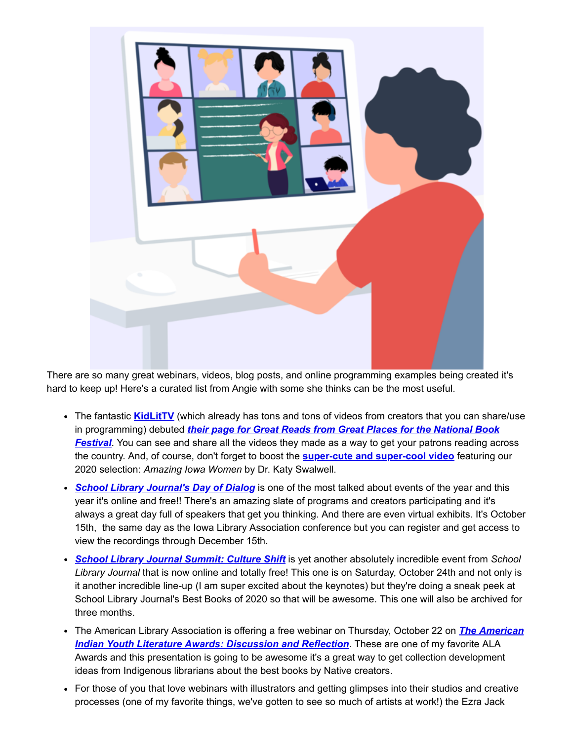

There are so many great webinars, videos, blog posts, and online programming examples being created it's hard to keep up! Here's a curated list from Angie with some she thinks can be the most useful.

- The fantastic **[KidLitTV](https://kidlit.tv/?utm_medium=email&utm_source=govdelivery)** (which already has tons and tons of videos from creators that you can share/use in programming) debuted *their page for Great Reads from Great Places for the National Book Festival*[. You can see and share all the videos they made as a way to get your patrons reading ac](https://kidlit.tv/2020/09/great-reads-from-great-places/?utm_medium=email&utm_source=govdelivery)ross the country. And, of course, don't forget to boost the **[super-cute and super-cool video](https://www.youtube.com/watch?ab_channel=KidLitTV&feature=youtu.be&utm_medium=email&utm_source=govdelivery&v=7zZV5-_eJOU)** featuring our 2020 selection: *Amazing Iowa Women* by Dr. Katy Swalwell.
- *[School Library Journal's Day of Dialog](https://www.slj.com/?event=school-library-journal-day-of-dialog-fall&utm_medium=email&utm_source=govdelivery)* is one of the most talked about events of the year and this year it's online and free!! There's an amazing slate of programs and creators participating and it's always a great day full of speakers that get you thinking. And there are even virtual exhibits. It's October 15th, the same day as the Iowa Library Association conference but you can register and get access to view the recordings through December 15th.
- *[School Library Journal Summit: Culture Shift](https://www.slj.com/?event=slj-virtual-summit-2020&utm_medium=email&utm_source=govdelivery)* is yet another absolutely incredible event from *School Library Journal* that is now online and totally free! This one is on Saturday, October 24th and not only is it another incredible line-up (I am super excited about the keynotes) but they're doing a sneak peek at School Library Journal's Best Books of 2020 so that will be awesome. This one will also be archived for three months.
- [The American Library Association is offering a free webinar on Thursday, October 22 on](http://www.ala.org/educationcareers/american-indian-youth-literature-awards-discussion-and-reflection?utm_medium=email&utm_source=govdelivery) *The American Indian Youth Literature Awards: Discussion and Reflection*. These are one of my favorite ALA Awards and this presentation is going to be awesome it's a great way to get collection development ideas from Indigenous librarians about the best books by Native creators.
- For those of you that love webinars with illustrators and getting glimpses into their studios and creative processes (one of my favorite things, we've gotten to see so much of artists at work!) the Ezra Jack